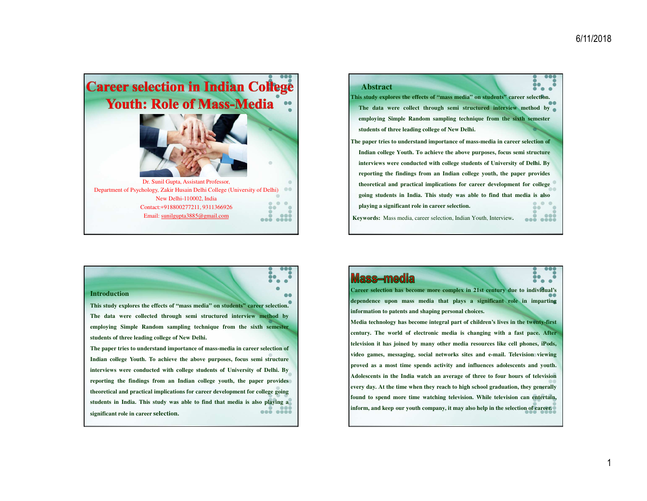



### **Introduction**

This study explores the effects of "mass media" on students" career selection. **The data were collected through semi structured interview method byemploying Simple Random sampling technique from the sixth semesterstudents of three leading college of New Delhi.**

The paper tries to understand importance of mass-media in career selection of **Indian college Youth. To achieve the above purposes, focus semi structureinterviews were conducted with college students of University of Delhi. By**reporting the findings from an Indian college youth, the paper provides **theoretical and practical implications for career development for college going**students in India. This study was able to find that media is also playing a **significant role in career selection.**

## Mass-media

 $\bullet$ 

Career selection has become more complex in 21st century due to individual's **dependence upon mass media that plays <sup>a</sup> significant role in impartinginformation to patents and shaping personal choices.**

Media technology has become integral part of children's lives in the twenty-first century. The world of electronic media is changing with a fast pace. After television it has joined by many other media resources like cell phones, iPods, **video games, messaging, social networks sites and e-mail. Television viewing**proved as a most time spends activity and influences adolescents and youth. Adolescents in the India watch an average of three to four hours of television every day. At the time when they reach to high school graduation, they generally **found to spend more time watching television. While television can entertain,** inform, and keep our youth company, it may also help in the selection of career.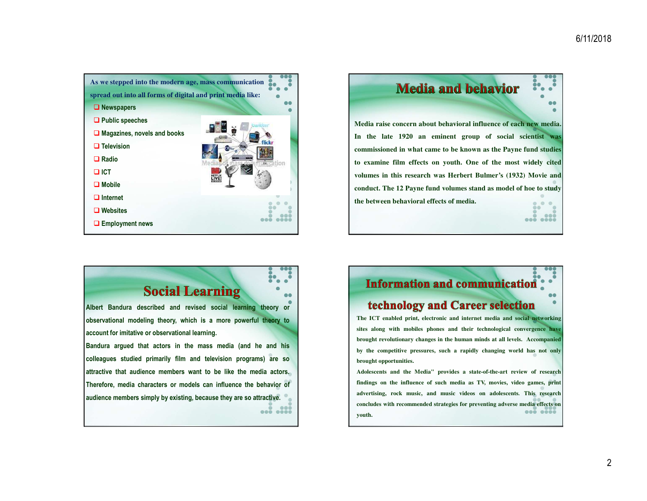

**Media and behavior Media raise concern about behavioral influence of each new media. In the late 1920 an eminent group of social scientist wascommissioned in what came to be known as the Payne fund studiesto examine film effects on youth. One of the most widely citedvolumes in this research was Herbert Bulmer's (1932) Movie and**conduct. The 12 Payne fund volumes stand as model of hoe to study **the between behavioral effects of media.**  $\ddot{\phantom{a}}$  $\bullet\bullet\bullet$  $\sim$   $\sim$   $\sim$   $\sim$ 

# **Social Learning**

 $\bullet$ 

**Albert Bandura described and revised social learning theory orobservational modeling theory, which is <sup>a</sup> more powerful theory toaccount for imitative or observational learning.**

**Bandura argued that actors in the mass media (and he and hiscolleagues studied primarily film and television programs) are soattractive that audience members want to be like the media actors. Therefore, media characters or models can influence the behavior ofaudience members simply by existing, because they are so attractive.**  $\sim$ 

## **Information and communication**

## technology and Career selection

The ICT enabled print, electronic and internet media and social networking **sites along with mobiles phones and their technological convergence havebrought revolutionary changes in the human minds at all levels. Accompanied**by the competitive pressures, such a rapidly changing world has not only **brought opportunities.**

**Adolescents and the Media" provides <sup>a</sup> state-of-the-art review of research**findings on the influence of such media as TV, movies, video games, print **advertising, rock music, and music videos on adolescents***.* **This researchconcludes with recommended strategies for preventing adverse media effects on**000 0000 **youth.**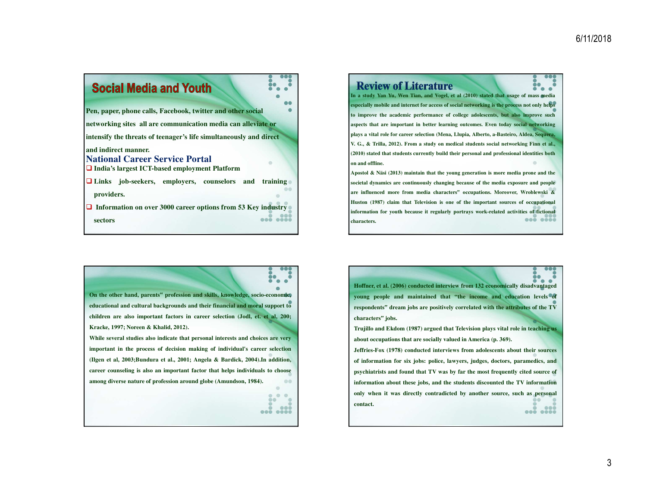

**Review of Literature** In a study Yan Yu, Wen Tian, and Vogel, et al (2010) stated that usage of mass media especially mobile and internet for access of social networking is the process not only helps to improve the academic performance of college adolescents, but also improve such aspects that are important in better learning outcomes. Even today social networking plays a vital role for career selection (Mena, Llupia, Alberto, a-Basteiro, Aldea, Sequera, V. G., & Trilla, 2012). From a study on medical students social networking Finn et al., (2010) stated that students currently build their personal and professional identities both **on and offline.** Apostol & Näsi (2013) maintain that the young generation is more media prone and the

societal dynamics are continuously changing because of the media exposure and people **are influenced more from media characters" occupations. Moreover, Wroblewski &**Huston (1987) claim that Television is one of the important sources of occupational information for youth because it regularly portrays work-related activities of fictional  $\bullet\bullet\bullet\bullet\bullet\bullet\bullet$ **characters.**

8 **On the other hand, parents" profession and skills, knowledge, socio-economic, educational and cultural backgrounds and their financial and moral support to**children are also important factors in career selection (Jodl, et. et al, 200; **Kracke, 1997; Noreen & Khalid, 2012).** While several studies also indicate that personal interests and choices are very **important in the process of decision making of individual's career selection**(Ilgen et al, 2003;Bundura et al., 2001; Angela & Bardick, 2004).In addition, career counseling is also an important factor that helps individuals to choose **among diverse nature of profession around globe (Amundson, 1984).**  $00$  $30^{\circ}$ ... ...

**Hoffner, et al. (2006) conducted interview from 132 economically disadvantagedyoung people and maintained that "the income and education levels of**respondents" dream jobs are positively correlated with the attributes of the TV **characters" jobs.**

Trujillo and Ekdom (1987) argued that Television plays vital role in teaching us **about occupations that are socially valued in America (p. 369).**

**Jeffries-Fox (1978) conducted interviews from adolescents about their sources**of information for six jobs: police, lawyers, judges, doctors, paramedics, and psychiatrists and found that TV was by far the most frequently cited source of **information about these jobs, and the students discounted the TV information**only when it was directly contradicted by another source, such as personal **contact.**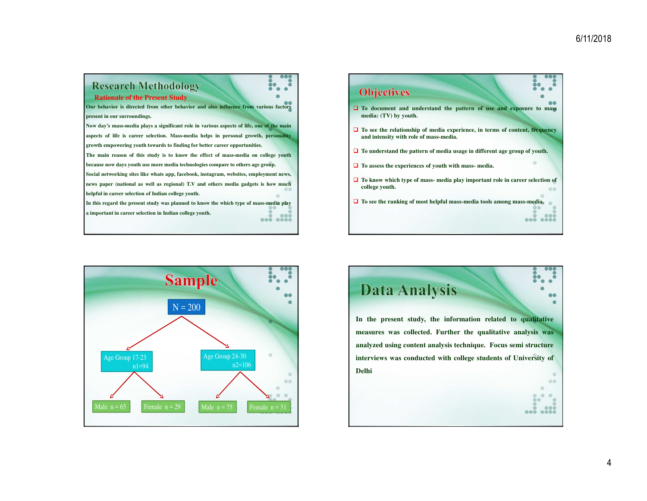$\bullet\bullet$ 

 $\bullet\bullet\bullet$ 

 $\bullet$ 

00

āa ... ...

#### **Research Methodology** ĎО č **Objectives**  $\triangleright$ **Rationale of the Present Study**Our behavior is directed from other behavior and also influence from various factors  $\Box$  **To document** and **understand** the pattern of use and exposure to mass media (TV) by youth **present in our surroundings. media: (TV) by youth.** Now day's mass-media plays a significant role in various aspects of life, one of the main  $\Box$  To see the relationship of media experience, in terms of content, frequency<br>and intensity with relations media aspects of life is career selection. Mass-media helps in personal growth, personality **and intensity with role of mass-media. growth empowering youth towards to finding for better career opportunities.**  $\Box$  To understand the pattern of media usage in different age group of youth. The main reason of this study is to know the effect of mass-media on college youth because now days youth use more media technologies compare to others age group. **To assess the experiences of youth with mass- media.** Social networking sites like whats app, facebook, instagram, websites, employment news,  $\Box$  To know which type of mass- media play important role in career selection of news paper (national as well as regional) T.V and others media gadgets is how much **college youth. helpful in career selection of Indian college youth. To see the ranking of most helpful mass-media tools among mass-media.** In this regard the present study was planned to know the which type of mass-media play **<sup>a</sup> important in career selection in Indian college youth.** ... ....



# **Data Analysis**

**In the present study, the information related to qualitativemeasures was collected. Further the qualitative analysis wasanalyzed using content analysis technique. Focus semi structureinterviews was conducted with college students of University ofDelhi** $\bullet$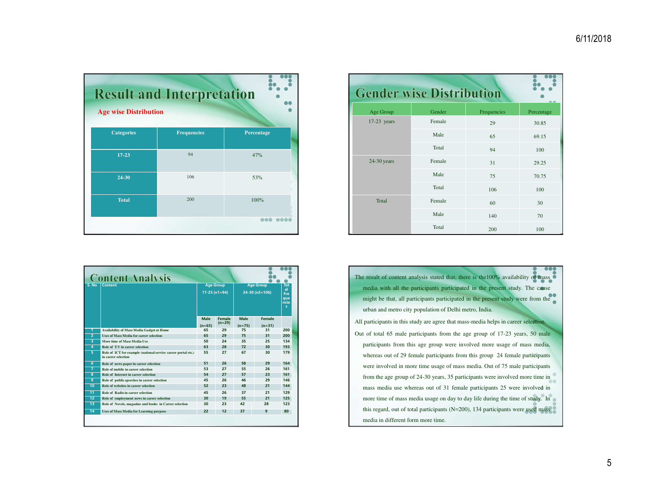| <b>Age wise Distribution</b> | <b>Result and Interpretation</b> |            |  |  |  |
|------------------------------|----------------------------------|------------|--|--|--|
| <b>Categories</b>            | <b>Frequencies</b>               | Percentage |  |  |  |
| $17 - 23$                    | 94                               | 47%        |  |  |  |
| 24-30                        | 106                              | 53%        |  |  |  |
| <b>Total</b>                 | 200                              | 100%       |  |  |  |
|                              |                                  |            |  |  |  |

| <b>Gender wise Distribution</b> |        |             |            |  |
|---------------------------------|--------|-------------|------------|--|
| <b>Age Group</b>                | Gender | Frequencies | Percentage |  |
| 17-23 years                     | Female | 29          | 30.85      |  |
|                                 | Male   | 65          | 69.15      |  |
|                                 | Total  | 94          | 100        |  |
| $24-30$ years                   | Female | 31          | 29.25      |  |
|                                 | Male   | 75          | 70.75      |  |
|                                 | Total  | 106         | 100        |  |
| <b>Total</b>                    | Female | 60          | 30         |  |
|                                 | Male   | 140         | 70         |  |
|                                 | Total  | 200         | 100        |  |

|                 | <b>Content Analysis</b>                                                              |                                    |                           |                                      |                    |                                               |  |
|-----------------|--------------------------------------------------------------------------------------|------------------------------------|---------------------------|--------------------------------------|--------------------|-----------------------------------------------|--|
| S. No           | Content                                                                              | <b>Age Group</b><br>$17-23(n1=94)$ |                           | <b>Age Group</b><br>$24-30$ (n2=106) |                    | <b>Tot</b><br>al.<br>Fre<br>que<br>ncie<br>5. |  |
|                 |                                                                                      | Male<br>$(n=65)$                   | <b>Female</b><br>$(n=29)$ | <b>Male</b><br>$(n=75)$              | Female<br>$(n=31)$ |                                               |  |
| 1               | <b>Availability of Mass Media Gadget at Home</b>                                     | 65                                 | 29                        | 75                                   | 31                 | 200                                           |  |
| $\overline{2}$  | <b>Uses of Mass Media for career selection</b>                                       | 65                                 | 29                        | 75                                   | 31                 | 200                                           |  |
| 3               | More time of Mass Media Use                                                          | 50                                 | 24                        | 35                                   | 25                 | 134                                           |  |
| $\overline{4}$  | Role of T.V in career selection                                                      | 63                                 | 28                        | 72                                   | 30                 | 193                                           |  |
| 5               | Role of ICT for example (national service career portal etc.)<br>in career selection | 55                                 | 27                        | 67                                   | 30                 | 179                                           |  |
| 6               | Role of news paper in career selection                                               | 51                                 | 26                        | 58                                   | 29                 | 164                                           |  |
| $\overline{7}$  | Role of mobile in career selection                                                   | 53                                 | 27                        | 55                                   | 26                 | 161                                           |  |
| 8               | Role of Internet in career selection                                                 | 54                                 | 27                        | 57                                   | 23                 | 161                                           |  |
| 9               | Role of public speeches in career selection                                          | 45                                 | 26                        | 46                                   | 29                 | 146                                           |  |
| 10              | Role of websites in career selection                                                 | 52                                 | 23                        | 48                                   | 21                 | 144                                           |  |
| $\overline{11}$ | Role of Radio in career selection                                                    | 45                                 | 26                        | 37                                   | 21                 | 129                                           |  |
| $\overline{12}$ | Role of employment news in career selection                                          | 30                                 | 19                        | 55                                   | 21                 | 125                                           |  |
| 13              | Role of Novels, magazine and books in Career selection                               | 30                                 | 23                        | 42                                   | 28                 | 123                                           |  |
| 14              | <b>Uses of Mass Media for Learning purpose</b>                                       | 22                                 | 12                        | 37                                   | 9                  | 80                                            |  |
|                 |                                                                                      |                                    |                           |                                      |                    |                                               |  |

| The result of content analysis stated that, there is the 100% availability of mass  |
|-------------------------------------------------------------------------------------|
| media with all the participants participated in the present study. The cause        |
| might be that, all participants participated in the present study were from the     |
| urban and metro city population of Delhi metro, India.                              |
| All participants in this study are agree that mass-media helps in career selection. |
| Out of total 65 male participants from the age group of 17-23 years, 50 male        |
| participants from this age group were involved more usage of mass media,            |
| whereas out of 29 female participants from this group 24 female participants        |
| were involved in more time usage of mass media. Out of 75 male participants         |
| from the age group of 24-30 years, 35 participants were involved more time in       |
| mass media use whereas out of 31 female participants 25 were involved in            |
| more time of mass media usage on day to day life during the time of study. In       |
| this regard, out of total participants $(N=200)$ , 134 participants were used mass  |
| media in different form more time.                                                  |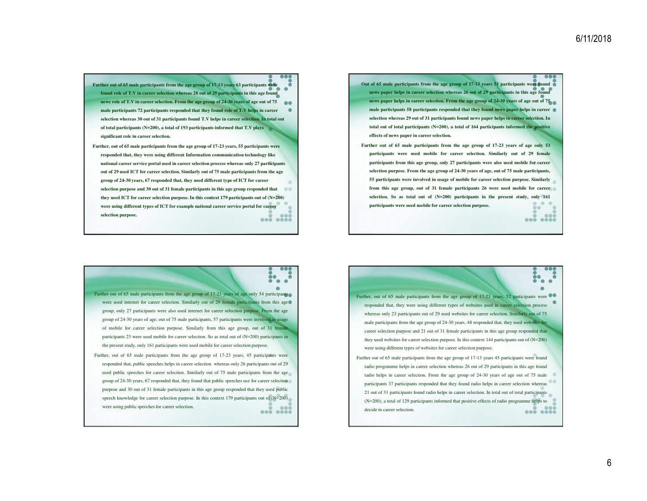- **Further out of 65 male participants from the age group of 17-13 years 63 participants were found role of T.V in career selection whereas 28 out of 29 participants in this age found news role of T.V in career selection. From the age group of 24-30 years of age out of 75 male participants 72 participants responded that they found role of T.V helps in career selection whereas 30 out of 31 participants found T.V helps in career selection. In total out of total participants (N=200), a total of 193 participants informed that T.V plays significant role in career selection.**
- **Further, out of 65 male participants from the age group of 17-23 years, 55 participants were responded that, they were using different Information communication technology like national career service portal used in career selection process whereas only 27 participants out of 29 used ICT for career selection. Similarly out of 75 male participants from the age group of 24-30 years, 67 responded that, they used different type of ICT for career selection purpose and 30 out of 31 female participants in this age group responded that**  $00$ **they used ICT for career selection purpose. In this context 179 participants out of (N=200) were using different types of ICT for example national career service portal for career selection purpose.**... ...

Out of 65 male participants from the age group of 17-13 years 51 participants were found news paper helps in career selection whereas 26 out of 29 participants in this age found news paper helps in career selection. From the age group of 24-30 years of age out of 75 male participants 58 participants responded that they found news paper helps in career selection whereas 29 out of 31 participants found news paper helps in career selection. In total out of total participants  $(N=200)$ , a total of 164 participants informed the positive **effects of news paper in career selection.**

Further out of 65 male participants from the age group of 17-23 years of age only 53 participants were used mobile for career selection. Similarly out of 29 female participants from this age group, only 27 participants were also used mobile for career selection purpose. From the age group of 24-30 years of age, out of 75 male participants, 55 participants were involved in usage of mobile for career selection purpose. Similarly from this age group, out of 31 female participants 26 were used mobile for career selection. So as total out of (N=200) participants in the present study, only 161  $\bullet$ **participants were used mobile for career selection purpose.**

8 Further out of 65 male participants from the age group of 17-23 years of age only 54 participants were used internet for career selection. Similarly out of 29 female participants from this age group, only 27 participants were also used internet for career selection purpose. From the agegroup of 24-30 years of age, out of 75 male participants, 57 participants were involved in usageof mobile for career selection purpose. Similarly from this age group, out of <sup>31</sup> femaleparticipants 23 were used mobile for career selection. So as total out of (N=200) participants inthe presen<sup>t</sup> study, only 161 participants were used mobile for career selection purpose. Further, out of 65 male participants from the age group of 17-23 years, 45 participants were

responded that, public speeches helps in career selection whereas only 26 participants out of 29used public speeches for career selection. Similarly out of <sup>75</sup> male participants from the agegroup of 24-30 years, 67 responded that, they found that public speeches use for career selectionpurpose and 30 out of 31 female participants in this age group responded that they used public speech knowledge for career selection purpose. In this context 179 participants out of (N=200) were using public speeches for career selection.  $\sim$   $\sim$   $\sim$   $\sim$   $\sim$   $\sim$ 



decide in career selection.

... ....

 $\overline{\phantom{a}}$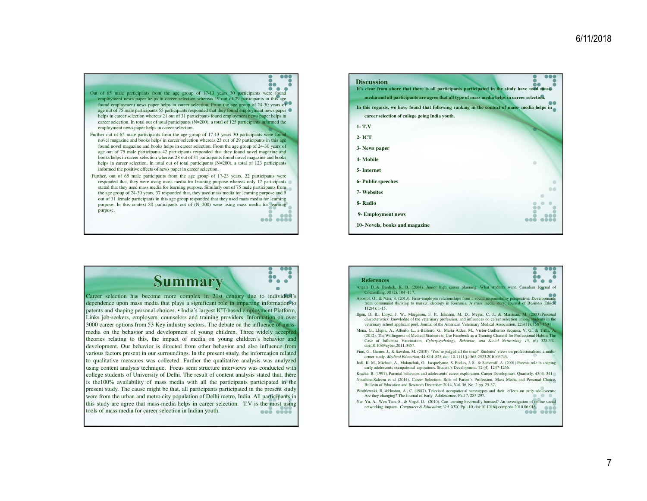

Further out of 65 male participants from the age group of 17-13 years 30 participants were found novel magazine and books helps in career selection whereas 23 out of 29 participants in this age found novel magazine and books helps in career selection. From the age group of 24-30 years of age out of 75 male participants 42 participants responded that they found novel magazine and books helps in career selection whereas 28 out of 31 participants found novel magazine and bookshelps in career selection. In total out of total participants (N=200), a total of 123 participants informed the positive effects of news paper in career selection.

Further, out of 65 male participants from the age group of 17-23 years, 22 participants were responded that, they were using mass media for learning purpose whereas only 12 participants stated that they used mass media for learning purpose. Similarly out of 75 male participants from the age group of 24-30 years, 37 responded that, they used mass media for learning purpose and 9 out of 31 female participants in this age group responded that they used mass media for learning purpose. In this context 80 participants out of (N=200) were using mass media for learningpurpose.

 $000.0000$ 

ĎО

ă

| <b>Discussion</b><br>It's clear from above that there is all participants participated in the study have used mass- |  |
|---------------------------------------------------------------------------------------------------------------------|--|
| media and all participants are agree that all type of mass media helps in career selection.                         |  |
| In this regards, we have found that following ranking in the context of mass- media helps in                        |  |
| career selection of college going India youth.                                                                      |  |
| $1 - T.V$                                                                                                           |  |
| $2-ICT$                                                                                                             |  |
| 3- News paper                                                                                                       |  |
| 4- Mobile                                                                                                           |  |
| 5- Internet                                                                                                         |  |
| <b>6- Public speeches</b>                                                                                           |  |
| <b>7- Websites</b>                                                                                                  |  |
| 8-Radio                                                                                                             |  |
| 9- Employment news                                                                                                  |  |
| 10- Novels, books and magazine                                                                                      |  |



#### **References** Angela D.,& Bardick, K. B. (2004). Junior high career planning: What students want. Canadian Journal ofCounselling, 38 (2), 104 -117.  $\overline{\phantom{a}}$ Apostol, O., & Näsi, S. (2013). Firm–employee relationships from a social responsibility perspective: Developments from communist thinking to market ideology in Romania. A mass media story. Journal of Business Ethics, 112(4): 1-15. Ilgen, D. R., Lloyd, J. W., Morgeson, F. P., Johnson, M. D., Meyer, C. J., & Marrinan, M. (2003).Personalcharacteristics, knowledge of the veterinary profession, and influences on career selection among st veterinary school applicant pool. Journal of the American Veterinary Medical Association, 223(11), 1587-1594 Mena, G., Llupia, A., Alberto, L., a-Basteiro, G., Marta Aldea, M., Victor-Guillermo Sequera, V. G., & Trilla, A. (2012). The Willingness of Medical Students to Use Facebook as <sup>a</sup> Training Channel for Professional Habits: The Case of Influenza Vaccination, *Cyberpsychology, Behavior, and Social Networking 15*, (6) 328-331. doi:10.1089/cyber.2011.0457. Finn, G., Garner, J., & Sawdon, M. (2010). 'You're judged all the time!' Students' views on professionalism: <sup>a</sup> multicenter study. *Medical Education;* 44:814–825. doi: 10.1111/j.1365-2923.2010.03743. Jodl, K. M., Michael, A., Malanchuk, O., Jacquelynne, S. Eccles, J. S., & Sameroff, A. (2001).Parents role in shapingearly adolescents occupational aspirations. Student's Development, 72 (4), 1247-1266. Kracke, B. (1997). Parental behaviors and adolescents' career exploration. Career Development Quarterly, 45(4), 341 Noushina,Saleem et al (2014). Career Selection: Role of Parent's Profession, Mass Media and Personal Choice, Bulletin of Education and Research December 2014, Vol. 36, No. 2 pp. 25-37. Wroblewski, R, &Huston, A., C. (1987). Televised occupational stereotypes and their effects on early adolescents: Are they changing? The Journal of Early Adolescence, Fall 7, 283-297. Yan Yu, A., Wen Tian, S., & Vogel, D. (2010). Can learning bevirtually boosted? An investigation of online socialnetworking impacts. *Computers & Education; Vol. XXX,* Pp1-10. doi:10.1016/j.compedu.2010.06.015. $\bullet\bullet\bullet$